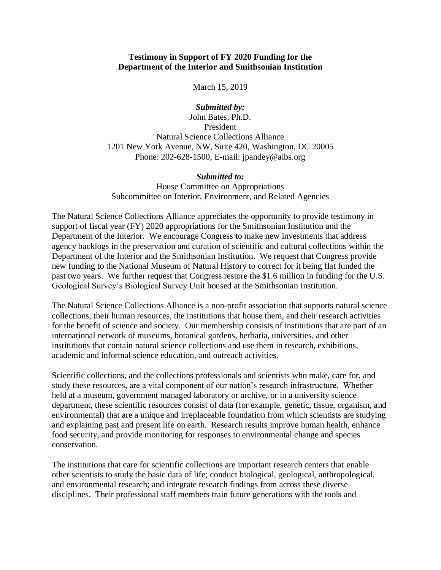## **Testimony in Support of FY 2020 Funding for the Department of the Interior and Smithsonian Institution**

March 15, 2019

## *Submitted by:*

John Bates, Ph.D. President Natural Science Collections Alliance 1201 New York Avenue, NW, Suite 420, Washington, DC 20005 Phone: 202-628-1500, E-mail: jpandey@aibs.org

## *Submitted to:*

House Committee on Appropriations Subcommittee on Interior, Environment, and Related Agencies

The Natural Science Collections Alliance appreciates the opportunity to provide testimony in support of fiscal year (FY) 2020 appropriations for the Smithsonian Institution and the Department of the Interior. We encourage Congress to make new investments that address agency backlogs in the preservation and curation of scientific and cultural collections within the Department of the Interior and the Smithsonian Institution. We request that Congress provide new funding to the National Museum of Natural History to correct for it being flat funded the past two years. We further request that Congress restore the \$1.6 million in funding for the U.S. Geological Survey's Biological Survey Unit housed at the Smithsonian Institution.

The Natural Science Collections Alliance is a non-profit association that supports natural science collections, their human resources, the institutions that house them, and their research activities for the benefit of science and society. Our membership consists of institutions that are part of an international network of museums, botanical gardens, herbaria, universities, and other institutions that contain natural science collections and use them in research, exhibitions, academic and informal science education, and outreach activities.

Scientific collections, and the collections professionals and scientists who make, care for, and study these resources, are a vital component of our nation's research infrastructure. Whether held at a museum, government managed laboratory or archive, or in a university science department, these scientific resources consist of data (for example, genetic, tissue, organism, and environmental) that are a unique and irreplaceable foundation from which scientists are studying and explaining past and present life on earth. Research results improve human health, enhance food security, and provide monitoring for responses to environmental change and species conservation.

The institutions that care for scientific collections are important research centers that enable other scientists to study the basic data of life; conduct biological, geological, anthropological, and environmental research; and integrate research findings from across these diverse disciplines. Their professional staff members train future generations with the tools and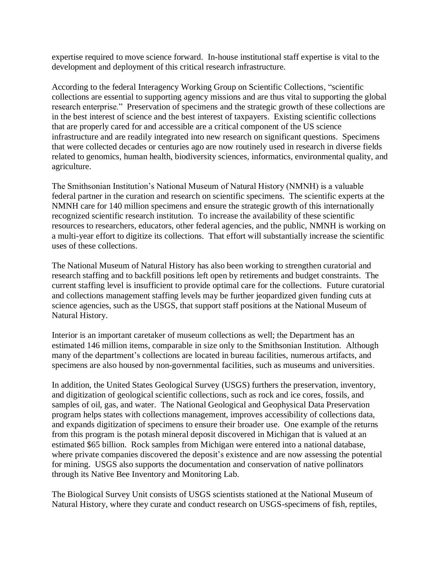expertise required to move science forward. In-house institutional staff expertise is vital to the development and deployment of this critical research infrastructure.

According to the federal Interagency Working Group on Scientific Collections, "scientific collections are essential to supporting agency missions and are thus vital to supporting the global research enterprise." Preservation of specimens and the strategic growth of these collections are in the best interest of science and the best interest of taxpayers. Existing scientific collections that are properly cared for and accessible are a critical component of the US science infrastructure and are readily integrated into new research on significant questions. Specimens that were collected decades or centuries ago are now routinely used in research in diverse fields related to genomics, human health, biodiversity sciences, informatics, environmental quality, and agriculture.

The Smithsonian Institution's National Museum of Natural History (NMNH) is a valuable federal partner in the curation and research on scientific specimens. The scientific experts at the NMNH care for 140 million specimens and ensure the strategic growth of this internationally recognized scientific research institution. To increase the availability of these scientific resources to researchers, educators, other federal agencies, and the public, NMNH is working on a multi-year effort to digitize its collections. That effort will substantially increase the scientific uses of these collections.

The National Museum of Natural History has also been working to strengthen curatorial and research staffing and to backfill positions left open by retirements and budget constraints. The current staffing level is insufficient to provide optimal care for the collections. Future curatorial and collections management staffing levels may be further jeopardized given funding cuts at science agencies, such as the USGS, that support staff positions at the National Museum of Natural History.

Interior is an important caretaker of museum collections as well; the Department has an estimated 146 million items, comparable in size only to the Smithsonian Institution. Although many of the department's collections are located in bureau facilities, numerous artifacts, and specimens are also housed by non-governmental facilities, such as museums and universities.

In addition, the United States Geological Survey (USGS) furthers the preservation, inventory, and digitization of geological scientific collections, such as rock and ice cores, fossils, and samples of oil, gas, and water. The National Geological and Geophysical Data Preservation program helps states with collections management, improves accessibility of collections data, and expands digitization of specimens to ensure their broader use. One example of the returns from this program is the potash mineral deposit discovered in Michigan that is valued at an estimated \$65 billion. Rock samples from Michigan were entered into a national database, where private companies discovered the deposit's existence and are now assessing the potential for mining. USGS also supports the documentation and conservation of native pollinators through its Native Bee Inventory and Monitoring Lab.

The Biological Survey Unit consists of USGS scientists stationed at the National Museum of Natural History, where they curate and conduct research on USGS-specimens of fish, reptiles,